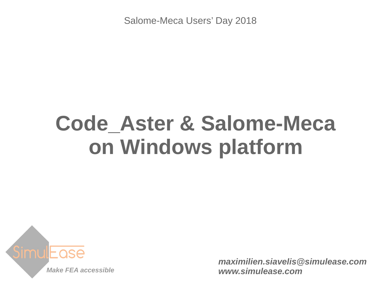Salome-Meca Users' Day 2018

# **Code\_Aster & Salome-Meca on Windows platform**



*[maximilien.siavelis@simulease.com](mailto:maximilien.siavelis@simulease.com) [www.simulease.com](http://www.simulease.com/)*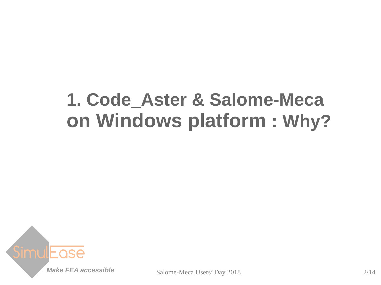### **1. Code\_Aster & Salome-Meca on Windows platform : Why?**

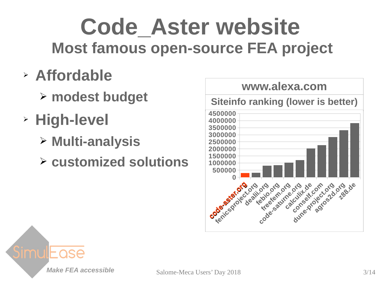## **Code\_Aster website Most famous open-source FEA project**

- ➢ **Affordable**
	- ➢ **modest budget**
- ➢ **High-level**
	- ➢ **Multi-analysis**
	- ➢ **customized solutions**



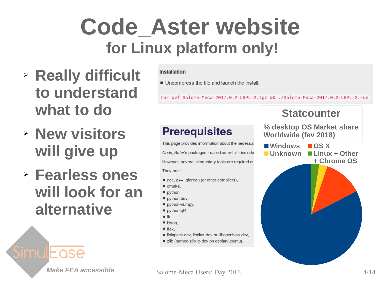## **Code\_Aster website for Linux platform only!**

- ➢ **Really difficult to understand what to do**
- ➢ **New visitors will give up**
- ➢ **Fearless ones will look for an alternative**

#### Installation

■ Uncompress the file and launch the install:

tar xvf Salome-Meca-2017.0.2-LGPL-2.tgz && ./Salome-Meca-2017.0.2-LGPL-2.run

#### **Prerequisites**

This page provides information about the necessal Code Aster's packages - called aster-full - include However, several elementary tools are required an They are:

- $\blacksquare$  gcc, g++, gfortran (or other compilers),
- $\blacksquare$  cmake,
- python,
- python-dev,
- python-numpy,
- python-qt4,
- $\blacksquare$  tk.
- $\blacksquare$  bison.
- $\blacksquare$  flex.
- liblapack-dev, libblas-dev ou libopenblas-dev,
- zlib (named zlib1g-dev on debian/ubuntu).



#### **Make FEA accessible** Salome-Meca Users' Day 2018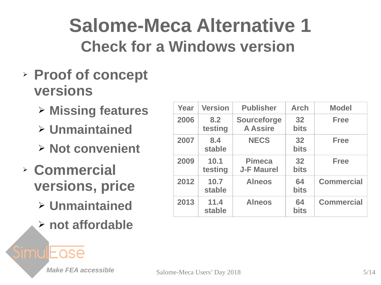### **Salome-Meca Alternative 1 Check for a Windows version**

- ➢ **Proof of concept versions**
	- ➢ **Missing features**
	- ➢ **Unmaintained**
	- ➢ **Not convenient**
- ➢ **Commercial versions, price**
	- ➢ **Unmaintained** ➢ **not affordable**

| Year | <b>Version</b>  | <b>Publisher</b>                      | <b>Arch</b>       | <b>Model</b>      |
|------|-----------------|---------------------------------------|-------------------|-------------------|
| 2006 | 8.2<br>testing  | <b>Sourceforge</b><br><b>A Assire</b> | 32<br><b>bits</b> | <b>Free</b>       |
| 2007 | 8.4<br>stable   | <b>NECS</b>                           | 32<br><b>bits</b> | <b>Free</b>       |
| 2009 | 10.1<br>testing | <b>Pimeca</b><br><b>J-F Maurel</b>    | 32<br><b>bits</b> | <b>Free</b>       |
| 2012 | 10.7<br>stable  | <b>Alneos</b>                         | 64<br><b>bits</b> | <b>Commercial</b> |
| 2013 | 11.4<br>stable  | <b>Alneos</b>                         | 64<br><b>bits</b> | <b>Commercial</b> |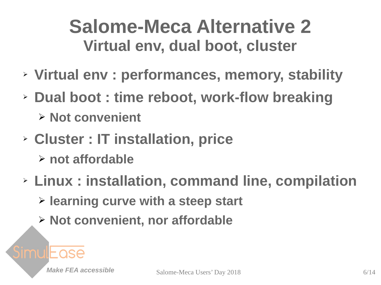### **Salome-Meca Alternative 2 Virtual env, dual boot, cluster**

- ➢ **Virtual env : performances, memory, stability**
- ➢ **Dual boot : time reboot, work-flow breaking**
	- ➢ **Not convenient**
- ➢ **Cluster : IT installation, price**
	- ➢ **not affordable**
- ➢ **Linux : installation, command line, compilation**
	- ➢ **learning curve with a steep start**
	- ➢ **Not convenient, nor affordable**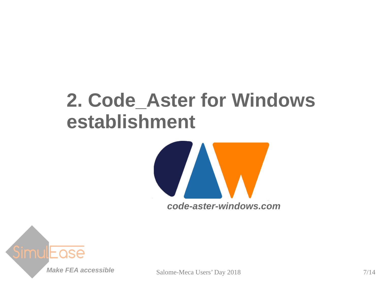### **2. Code\_Aster for Windows establishment**



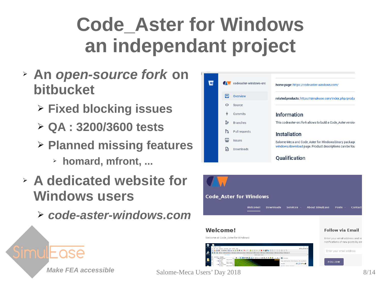## **Code\_Aster for Windows an independant project**

- ➢ **An** *[open-source fork](https://bitbucket.org/siavelis/codeaster-windows-src)* **on bitbucket**
	- ➢ **Fixed blocking issues**
	- ➢ **QA : 3200/3600 tests**
	- ➢ **Planned missing features**
		- ➢ **homard, mfront, ...**
- ➢ **A dedicated website for Windows users**
	- ➢ *[code-aster-windows.com](https://code-aster-windows.com/)*

|    | codeaster-windows-src | home page: https://code-aster-windows.com/                   |  |
|----|-----------------------|--------------------------------------------------------------|--|
| 目  | Overview              | related products: https://simulease.com/index.php/produ-     |  |
| ⇔  | Source                |                                                              |  |
| ቀ  | Commits               | <b>Information</b>                                           |  |
| ឞ  | <b>Branches</b>       | This codeaster-src fork allows to build a Code Aster version |  |
| የኋ | Pull requests         | <b>Installation</b>                                          |  |
| ఆ  | <b>Issues</b>         | Salome-Meca and Code_Aster for Windows binary package        |  |
| ħ  | Downloads             | windows/download page. Product descriptions can be fou       |  |
|    |                       | <b>Oualification</b>                                         |  |

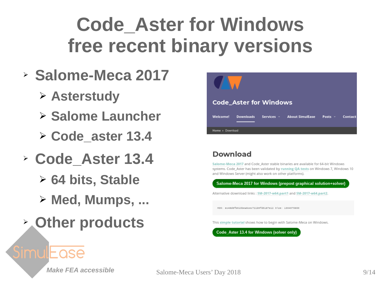## **Code\_Aster for Windows free recent binary versions**

- ➢ **Salome-Meca 2017**
	- ➢ **Asterstudy**
	- ➢ **Salome Launcher**
	- ➢ **Code\_aster 13.4**
- ➢ **Code\_Aster 13.4**
	- ➢ **64 bits, Stable**
	- ➢ **Med, Mumps, ...**
- ➢ **Other products**



#### **Download**

Salome-Meca 2017 and Code Aster stable binaries are available for 64-bit Windows systems. Code Aster has been validated by running QA tests on Windows 7, Windows 10 and Windows Server (might also work on other platforms).

Salome-Meca 2017 for Windows (prepost graphical solution+solver) Alternative download links : SM-2017-w64.part1 and SM-2017-w64.part2.

MD5: ec48d8fb@13bea6cec721b9fd5187e12 Size: 1804075650

This simple tutorial shows how to begin with Salome-Meca on Windows.

Code\_Aster 13.4 for Windows (solver only)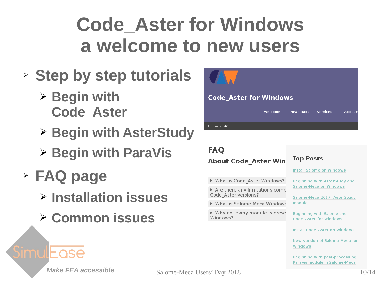## **Code\_Aster for Windows a welcome to new users**

- ➢ **Step by step tutorials**
	- ➢ **Begin with Code\_Aster**
	- ➢ **Begin with AsterStudy**
	- ➢ **Begin with ParaVis**
- ➢ **FAQ page**
	- ➢ **Installation issues**
	- ➢ **Common issues**



#### **Code Aster for Windows**

|            | Welcome! Downloads Services About S |  |
|------------|-------------------------------------|--|
| Home → FAQ |                                     |  |
|            |                                     |  |

#### **FAQ About Code Aster Win**

- ▶ What is Code Aster Windows?
- $\triangleright$  Are there any limitations comp Code Aster versions?
- ▶ What is Salome-Meca Windows
- ▶ Why not every module is prese Windows?

#### **Top Posts**

**Install Salome on Windows** 

Beginning with AsterStudy and **Salome-Meca on Windows** 

Salome-Meca 2017: AsterStudy module

Beginning with Salome and **Code Aster for Windows** 

**Install Code Aster on Windows** 

New version of Salome-Meca for Windows

Beginning with post-processing Paravis module in Salome-Meca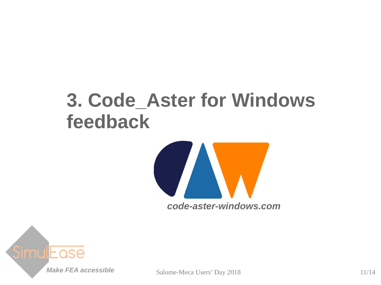### **3. Code\_Aster for Windows feedback**



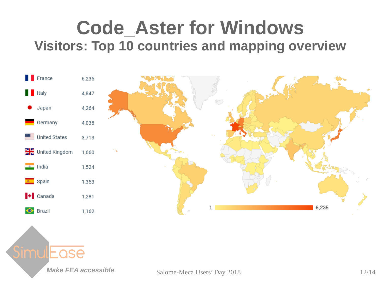### **Code\_Aster for Windows Visitors: Top 10 countries and mapping overview**



ase

**Make FEA accessible** Salome-Meca Users' Day 2018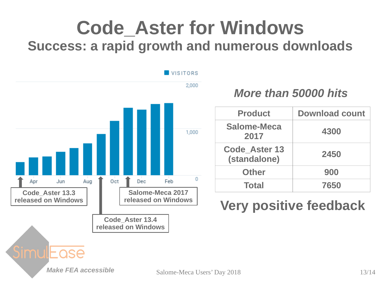### **Code\_Aster for Windows Success: a rapid growth and numerous downloads**



### *More than 50000 hits*

| <b>Product</b>                       | <b>Download count</b> |  |  |
|--------------------------------------|-----------------------|--|--|
| <b>Salome-Meca</b><br>2017           | 4300                  |  |  |
| <b>Code Aster 13</b><br>(standalone) | 2450                  |  |  |
| <b>Other</b>                         | 900                   |  |  |
| <b>Total</b>                         | 7650                  |  |  |

### **Very positive feedback**